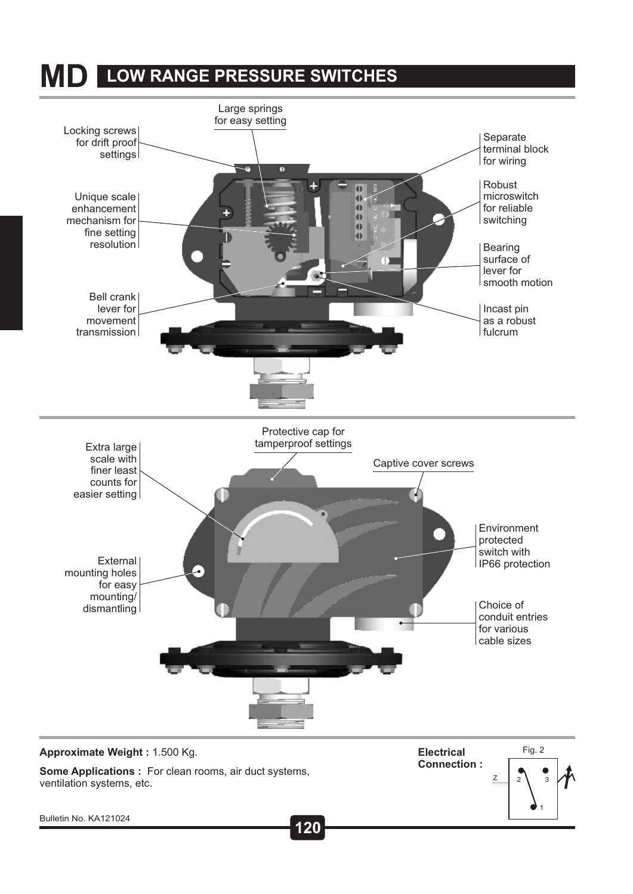### **MD LOW RANGE PRESSURE SWITCHES**



**Some Applications :** For clean rooms, air duct systems, ventilation systems, etc.

**Electrical**



**75 120** Bulletin No. KA121024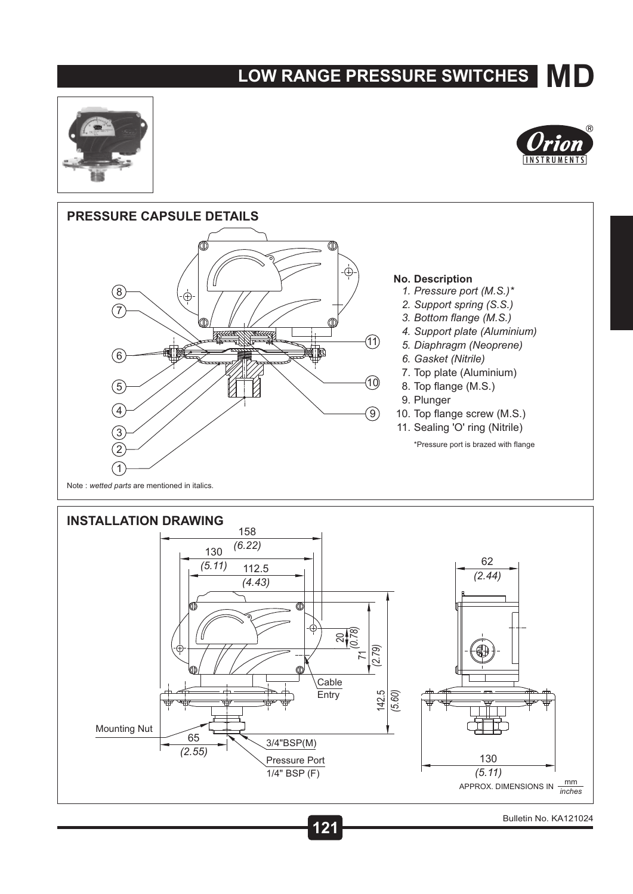# **MD LOW RANGE PRESSURE SWITCHES**







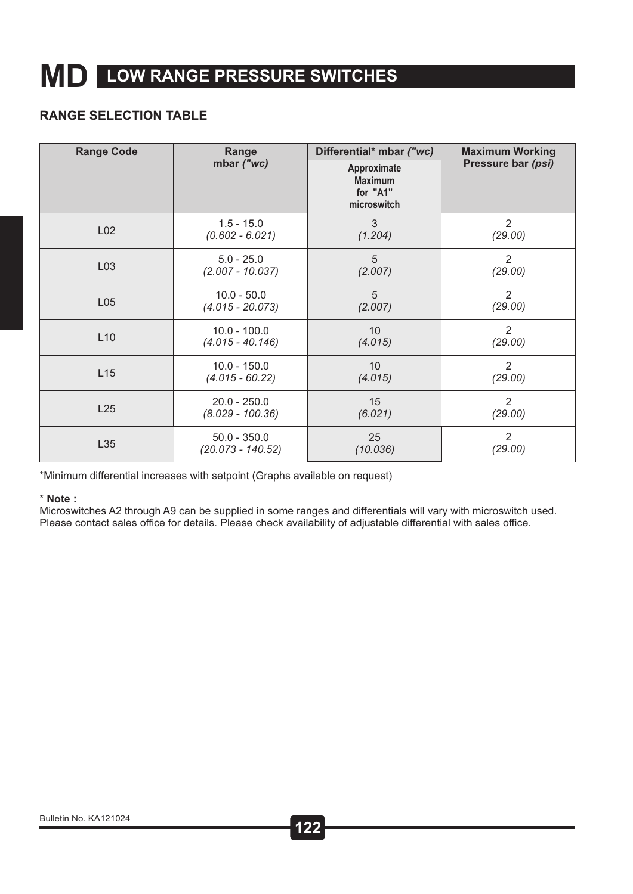## **MD LOW RANGE PRESSURE SWITCHES**

#### **RANGE SELECTION TABLE**

| <b>Range Code</b> | Range              | Differential* mbar ("wc)                                 | <b>Maximum Working</b> |
|-------------------|--------------------|----------------------------------------------------------|------------------------|
|                   | mbar ("wc)         | Approximate<br><b>Maximum</b><br>for "A1"<br>microswitch | Pressure bar (psi)     |
| L <sub>02</sub>   | $1.5 - 15.0$       | 3                                                        | 2                      |
|                   | $(0.602 - 6.021)$  | (1.204)                                                  | (29.00)                |
| L03               | $5.0 - 25.0$       | 5                                                        | $\overline{2}$         |
|                   | $(2.007 - 10.037)$ | (2.007)                                                  | (29.00)                |
| L <sub>05</sub>   | $10.0 - 50.0$      | 5                                                        | $\overline{2}$         |
|                   | $(4.015 - 20.073)$ | (2.007)                                                  | (29.00)                |
| L10               | $10.0 - 100.0$     | 10                                                       | $\overline{2}$         |
|                   | $(4.015 - 40.146)$ | (4.015)                                                  | (29.00)                |
| L15               | $10.0 - 150.0$     | 10                                                       | 2                      |
|                   | $(4.015 - 60.22)$  | (4.015)                                                  | (29.00)                |
| L25               | $20.0 - 250.0$     | 15                                                       | 2                      |
|                   | $(8.029 - 100.36)$ | (6.021)                                                  | (29.00)                |
| L35               | $50.0 - 350.0$     | 25                                                       | 2                      |
|                   | (20.073 - 140.52)  | (10.036)                                                 | (29.00)                |

\*Minimum differential increases with setpoint (Graphs available on request)

#### \* **Note :**

Microswitches A2 through A9 can be supplied in some ranges and differentials will vary with microswitch used. Please contact sales office for details. Please check availability of adjustable differential with sales office.